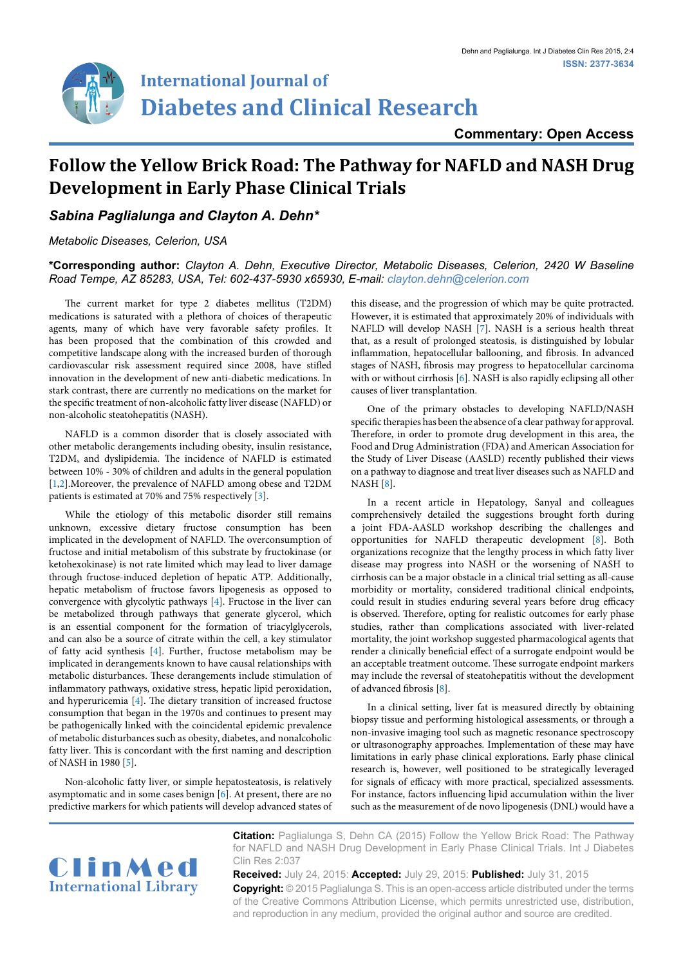

# **International Journal of Diabetes and Clinical Research**

**Commentary: Open Access**

## **Follow the Yellow Brick Road: The Pathway for NAFLD and NASH Drug Development in Early Phase Clinical Trials**

### *Sabina Paglialunga and Clayton A. Dehn\**

#### *Metabolic Diseases, Celerion, USA*

#### **\*Corresponding author:** *Clayton A. Dehn, Executive Director, Metabolic Diseases, Celerion, 2420 W Baseline Road Tempe, AZ 85283, USA, Tel: 602-437-5930 x65930, E-mail: clayton.dehn@celerion.com*

The current market for type 2 diabetes mellitus (T2DM) medications is saturated with a plethora of choices of therapeutic agents, many of which have very favorable safety profiles. It has been proposed that the combination of this crowded and competitive landscape along with the increased burden of thorough cardiovascular risk assessment required since 2008, have stifled innovation in the development of new anti-diabetic medications. In stark contrast, there are currently no medications on the market for the specific treatment of non-alcoholic fatty liver disease (NAFLD) or non-alcoholic steatohepatitis (NASH).

NAFLD is a common disorder that is closely associated with other metabolic derangements including obesity, insulin resistance, T2DM, and dyslipidemia. The incidence of NAFLD is estimated between 10% - 30% of children and adults in the general population [[1,](#page-1-3)[2](#page-1-4)].Moreover, the prevalence of NAFLD among obese and T2DM patients is estimated at 70% and 75% respectively [[3](#page-1-5)].

While the etiology of this metabolic disorder still remains unknown, excessive dietary fructose consumption has been implicated in the development of NAFLD. The overconsumption of fructose and initial metabolism of this substrate by fructokinase (or ketohexokinase) is not rate limited which may lead to liver damage through fructose-induced depletion of hepatic ATP. Additionally, hepatic metabolism of fructose favors lipogenesis as opposed to convergence with glycolytic pathways [[4\]](#page-1-6). Fructose in the liver can be metabolized through pathways that generate glycerol, which is an essential component for the formation of triacylglycerols, and can also be a source of citrate within the cell, a key stimulator of fatty acid synthesis [[4\]](#page-1-6). Further, fructose metabolism may be implicated in derangements known to have causal relationships with metabolic disturbances. These derangements include stimulation of inflammatory pathways, oxidative stress, hepatic lipid peroxidation, and hyperuricemia [[4](#page-1-6)]. The dietary transition of increased fructose consumption that began in the 1970s and continues to present may be pathogenically linked with the coincidental epidemic prevalence of metabolic disturbances such as obesity, diabetes, and nonalcoholic fatty liver. This is concordant with the first naming and description of NASH in 1980 [[5](#page-1-7)].

Non-alcoholic fatty liver, or simple hepatosteatosis, is relatively asymptomatic and in some cases benign [\[6\]](#page-1-1). At present, there are no predictive markers for which patients will develop advanced states of this disease, and the progression of which may be quite protracted. However, it is estimated that approximately 20% of individuals with NAFLD will develop NASH [\[7\]](#page-1-0). NASH is a serious health threat that, as a result of prolonged steatosis, is distinguished by lobular inflammation, hepatocellular ballooning, and fibrosis. In advanced stages of NASH, fibrosis may progress to hepatocellular carcinoma with or without cirrhosis [[6\]](#page-1-1). NASH is also rapidly eclipsing all other causes of liver transplantation.

One of the primary obstacles to developing NAFLD/NASH specific therapies has been the absence of a clear pathway for approval. Therefore, in order to promote drug development in this area, the Food and Drug Administration (FDA) and American Association for the Study of Liver Disease (AASLD) recently published their views on a pathway to diagnose and treat liver diseases such as NAFLD and NASH [\[8\]](#page-1-2).

In a recent article in Hepatology, Sanyal and colleagues comprehensively detailed the suggestions brought forth during a joint FDA-AASLD workshop describing the challenges and opportunities for NAFLD therapeutic development [\[8\]](#page-1-2). Both organizations recognize that the lengthy process in which fatty liver disease may progress into NASH or the worsening of NASH to cirrhosis can be a major obstacle in a clinical trial setting as all-cause morbidity or mortality, considered traditional clinical endpoints, could result in studies enduring several years before drug efficacy is observed. Therefore, opting for realistic outcomes for early phase studies, rather than complications associated with liver-related mortality, the joint workshop suggested pharmacological agents that render a clinically beneficial effect of a surrogate endpoint would be an acceptable treatment outcome. These surrogate endpoint markers may include the reversal of steatohepatitis without the development of advanced fibrosis [\[8](#page-1-2)].

In a clinical setting, liver fat is measured directly by obtaining biopsy tissue and performing histological assessments, or through a non-invasive imaging tool such as magnetic resonance spectroscopy or ultrasonography approaches. Implementation of these may have limitations in early phase clinical explorations. Early phase clinical research is, however, well positioned to be strategically leveraged for signals of efficacy with more practical, specialized assessments. For instance, factors influencing lipid accumulation within the liver such as the measurement of de novo lipogenesis (DNL) would have a



**Citation:** Paglialunga S, Dehn CA (2015) Follow the Yellow Brick Road: The Pathway for NAFLD and NASH Drug Development in Early Phase Clinical Trials. Int J Diabetes Clin Res 2:037

**Received:** July 24, 2015: **Accepted:** July 29, 2015: **Published:** July 31, 2015 **Copyright:** © 2015 Paglialunga S. This is an open-access article distributed under the terms of the Creative Commons Attribution License, which permits unrestricted use, distribution, and reproduction in any medium, provided the original author and source are credited.